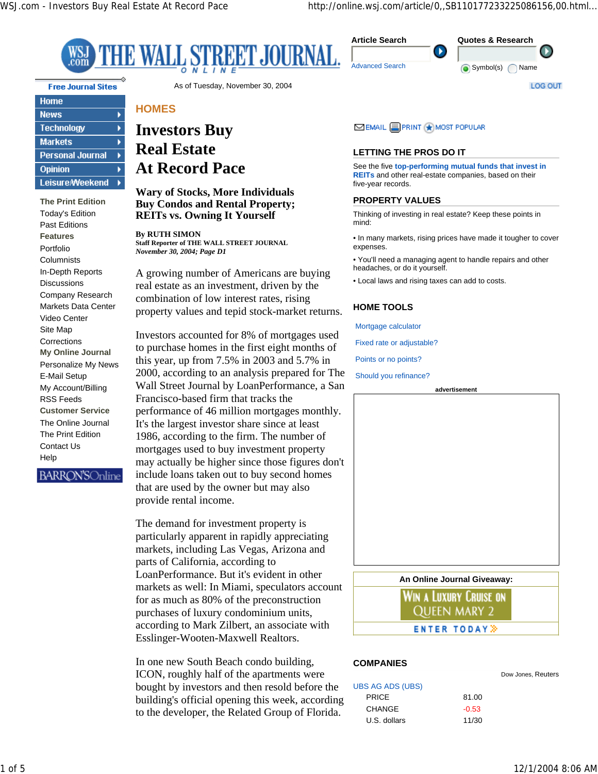×

**Quotes & Research**

Symbol(s) Name

 $\mathbf \Omega$ 

**LOG OUT** 



**Free Journal Sites** 

| <b>Home</b>             |  |
|-------------------------|--|
| <b>News</b>             |  |
| <b>Technology</b>       |  |
| <b>Markets</b>          |  |
| <b>Personal Journal</b> |  |
| <b>Opinion</b>          |  |
| <b>Leisure/Weekend</b>  |  |

**The Print Edition** Today's Edition Past Editions **Features** Portfolio **Columnists** In-Depth Reports **Discussions** Company Research Markets Data Center Video Center Site Map Corrections **My Online Journal** Personalize My News E-Mail Setup My Account/Billing RSS Feeds **Customer Service** The Online Journal The Print Edition Contact Us **Help** 

**BARRON'S**Online

As of Tuesday, November 30, 2004

# **HOMES**

# **Investors Buy Real Estate At Record Pace**

#### **Wary of Stocks, More Individuals Buy Condos and Rental Property; REITs vs. Owning It Yourself**

**By RUTH SIMON Staff Reporter of THE WALL STREET JOURNAL** *November 30, 2004; Page D1*

A growing number of Americans are buying real estate as an investment, driven by the combination of low interest rates, rising property values and tepid stock-market returns.

Investors accounted for 8% of mortgages used to purchase homes in the first eight months of this year, up from 7.5% in 2003 and 5.7% in 2000, according to an analysis prepared for The Wall Street Journal by LoanPerformance, a San Francisco-based firm that tracks the performance of 46 million mortgages monthly. It's the largest investor share since at least 1986, according to the firm. The number of mortgages used to buy investment property may actually be higher since those figures don't include loans taken out to buy second homes that are used by the owner but may also provide rental income.

The demand for investment property is particularly apparent in rapidly appreciating markets, including Las Vegas, Arizona and parts of California, according to LoanPerformance. But it's evident in other markets as well: In Miami, speculators account for as much as 80% of the preconstruction purchases of luxury condominium units, according to Mark Zilbert, an associate with Esslinger-Wooten-Maxwell Realtors.

In one new South Beach condo building, ICON, roughly half of the apartments were bought by investors and then resold before the building's official opening this week, according to the developer, the Related Group of Florida.

MOST POPULAR

### **LETTING THE PROS DO IT**

See the five **top-performing mutual funds that invest in REITs** and other real-estate companies, based on their five-year records.

#### **PROPERTY VALUES**

Thinking of investing in real estate? Keep these points in mind:

• In many markets, rising prices have made it tougher to cover expenses.

• You'll need a managing agent to handle repairs and other headaches, or do it yourself.

• Local laws and rising taxes can add to costs.

#### **HOME TOOLS**

Mortgage calculator

Fixed rate or adjustable?

Points or no points?

Should you refinance?



Win a Luxury Cruise on Queen mary 2 **ENTER TODAY** >

#### **COMPANIES**

| <b>UBS AG ADS (UBS)</b> |         |
|-------------------------|---------|
| <b>PRICE</b>            | 81.00   |
| CHANGE                  | $-0.53$ |
| U.S. dollars            | 11/30   |

Dow Jones, Reuters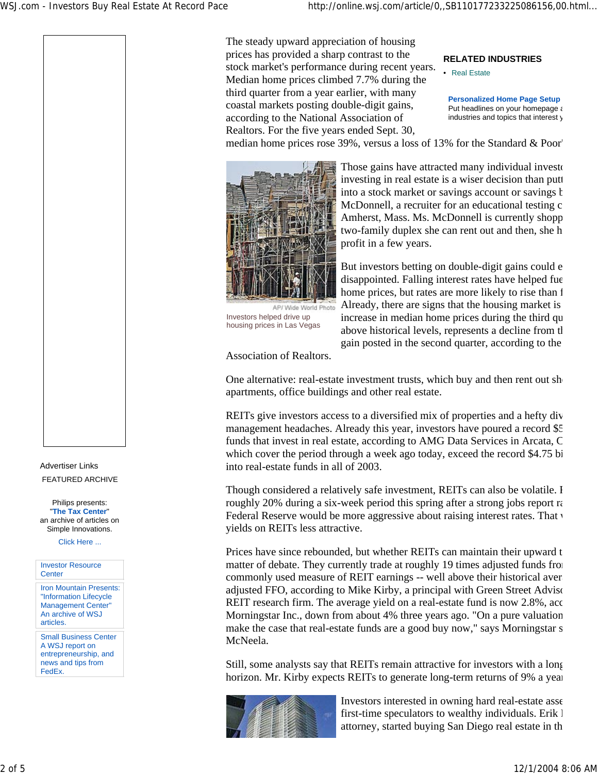The steady upward appreciation of housing prices has provided a sharp contrast to the stock market's performance during recent years. Median home prices climbed 7.7% during the third quarter from a year earlier, with many coastal markets posting double-digit gains, according to the National Association of Realtors. For the five years ended Sept. 30,

**RELATED INDUSTRIES**

• Real Estate

**Personalized Home Page Setup** Put headlines on your homepage a industries and topics that interest y

median home prices rose 39%, versus a loss of 13% for the Standard & Poor'



Those gains have attracted many individual investorinvesting in real estate is a wiser decision than putt into a stock market or savings account or savings  $b$ McDonnell, a recruiter for an educational testing c Amherst, Mass. Ms. McDonnell is currently shopp two-family duplex she can rent out and then, she h profit in a few years.

But investors betting on double-digit gains could e disappointed. Falling interest rates have helped fue home prices, but rates are more likely to rise than f Already, there are signs that the housing market is increase in median home prices during the third qu above historical levels, represents a decline from th gain posted in the second quarter, according to the

Association of Realtors.

Investors helped drive up housing prices in Las Vegas

One alternative: real-estate investment trusts, which buy and then rent out show apartments, office buildings and other real estate.

REITs give investors access to a diversified mix of properties and a hefty div management headaches. Already this year, investors have poured a record \$5 funds that invest in real estate, according to AMG Data Services in Arcata, C which cover the period through a week ago today, exceed the record \$4.75 bi into real-estate funds in all of 2003.

Though considered a relatively safe investment, REITs can also be volatile. R roughly 20% during a six-week period this spring after a strong jobs report ra Federal Reserve would be more aggressive about raising interest rates. That v yields on REITs less attractive.

Prices have since rebounded, but whether REITs can maintain their upward to matter of debate. They currently trade at roughly 19 times adjusted funds from commonly used measure of REIT earnings -- well above their historical averagement adjusted FFO, according to Mike Kirby, a principal with Green Street Adviso REIT research firm. The average yield on a real-estate fund is now 2.8%, acc Morningstar Inc., down from about 4% three years ago. "On a pure valuation make the case that real-estate funds are a good buy now," says Morningstar s McNeela.

Still, some analysts say that REITs remain attractive for investors with a long horizon. Mr. Kirby expects REITs to generate long-term returns of 9% a year



Investors interested in owning hard real-estate asse first-time speculators to wealthy individuals. Erik I attorney, started buying San Diego real estate in th

Advertiser Links FEATURED ARCHIVE

Philips presents: "**The Tax Center**" an archive of articles on Simple Innovations.

Click Here ...



Small Business Center A WSJ report on entrepreneurship, and news and tips from FedEx.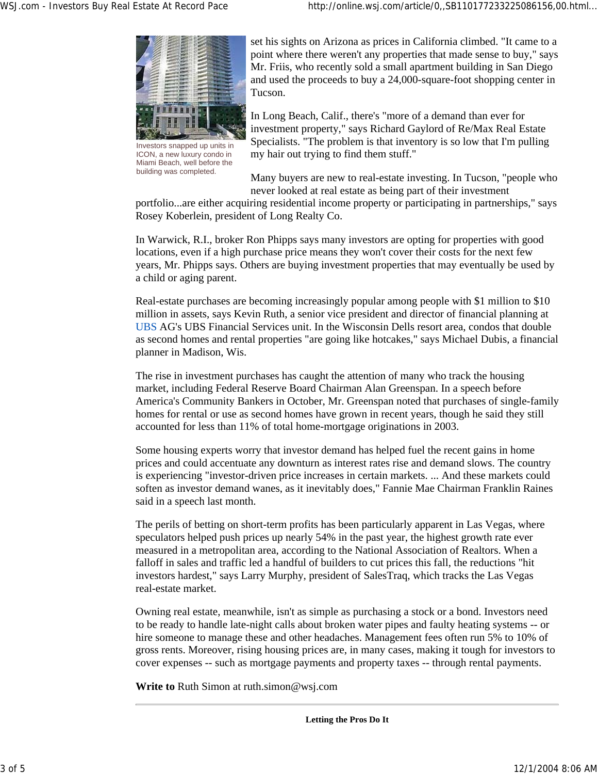

Investors snapped up units in ICON, a new luxury condo in Miami Beach, well before the building was completed.

set his sights on Arizona as prices in California climbed. "It came to a point where there weren't any properties that made sense to buy," says Mr. Friis, who recently sold a small apartment building in San Diego and used the proceeds to buy a 24,000-square-foot shopping center in Tucson.

In Long Beach, Calif., there's "more of a demand than ever for investment property," says Richard Gaylord of Re/Max Real Estate Specialists. "The problem is that inventory is so low that I'm pulling my hair out trying to find them stuff."

Many buyers are new to real-estate investing. In Tucson, "people who never looked at real estate as being part of their investment

portfolio...are either acquiring residential income property or participating in partnerships," says Rosey Koberlein, president of Long Realty Co.

In Warwick, R.I., broker Ron Phipps says many investors are opting for properties with good locations, even if a high purchase price means they won't cover their costs for the next few years, Mr. Phipps says. Others are buying investment properties that may eventually be used by a child or aging parent.

Real-estate purchases are becoming increasingly popular among people with \$1 million to \$10 million in assets, says Kevin Ruth, a senior vice president and director of financial planning at UBS AG's UBS Financial Services unit. In the Wisconsin Dells resort area, condos that double as second homes and rental properties "are going like hotcakes," says Michael Dubis, a financial planner in Madison, Wis.

The rise in investment purchases has caught the attention of many who track the housing market, including Federal Reserve Board Chairman Alan Greenspan. In a speech before America's Community Bankers in October, Mr. Greenspan noted that purchases of single-family homes for rental or use as second homes have grown in recent years, though he said they still accounted for less than 11% of total home-mortgage originations in 2003.

Some housing experts worry that investor demand has helped fuel the recent gains in home prices and could accentuate any downturn as interest rates rise and demand slows. The country is experiencing "investor-driven price increases in certain markets. ... And these markets could soften as investor demand wanes, as it inevitably does," Fannie Mae Chairman Franklin Raines said in a speech last month.

The perils of betting on short-term profits has been particularly apparent in Las Vegas, where speculators helped push prices up nearly 54% in the past year, the highest growth rate ever measured in a metropolitan area, according to the National Association of Realtors. When a falloff in sales and traffic led a handful of builders to cut prices this fall, the reductions "hit investors hardest," says Larry Murphy, president of SalesTraq, which tracks the Las Vegas real-estate market.

Owning real estate, meanwhile, isn't as simple as purchasing a stock or a bond. Investors need to be ready to handle late-night calls about broken water pipes and faulty heating systems -- or hire someone to manage these and other headaches. Management fees often run 5% to 10% of gross rents. Moreover, rising housing prices are, in many cases, making it tough for investors to cover expenses -- such as mortgage payments and property taxes -- through rental payments.

**Write to** Ruth Simon at ruth.simon@wsj.com